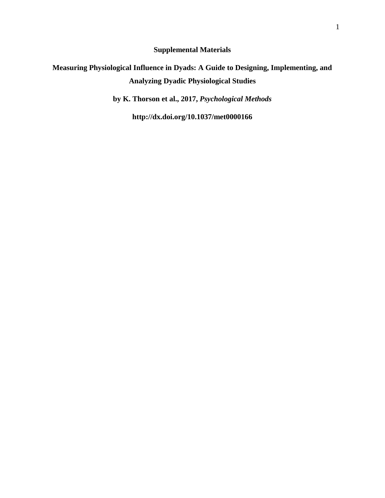**Supplemental Materials**

# **Measuring Physiological Influence in Dyads: A Guide to Designing, Implementing, and Analyzing Dyadic Physiological Studies**

**by K. Thorson et al., 2017,** *Psychological Methods*

**http://dx.doi.org/10.1037/met0000166**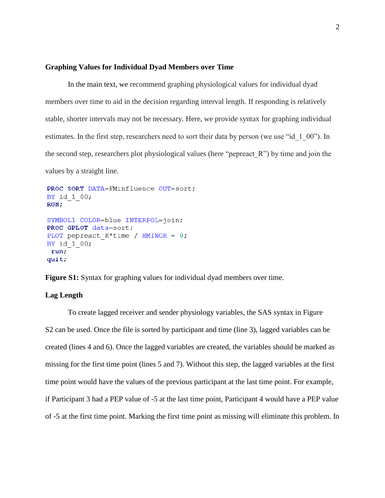#### **Graphing Values for Individual Dyad Members over Time**

In the main text, we recommend graphing physiological values for individual dyad members over time to aid in the decision regarding interval length. If responding is relatively stable, shorter intervals may not be necessary. Here, we provide syntax for graphing individual estimates. In the first step, researchers need to sort their data by person (we use "id 1 00"). In the second step, researchers plot physiological values (here "pepreact\_R") by time and join the values by a straight line.

```
PROC SORT DATA=FMinfluence OUT=sort;
BY id 1 00;
RUN;SYMBOL1 COLOR=blue INTERPOL=join;
PROC GPLOT data=sort;
PLOT pepreact R*time / HMINOR = 0;BY id 1 00;
 run;
quit;
```
**Figure S1:** Syntax for graphing values for individual dyad members over time.

### **Lag Length**

To create lagged receiver and sender physiology variables, the SAS syntax in Figure S2 can be used. Once the file is sorted by participant and time (line 3), lagged variables can be created (lines 4 and 6). Once the lagged variables are created, the variables should be marked as missing for the first time point (lines 5 and 7). Without this step, the lagged variables at the first time point would have the values of the previous participant at the last time point. For example, if Participant 3 had a PEP value of -5 at the last time point, Participant 4 would have a PEP value of -5 at the first time point. Marking the first time point as missing will eliminate this problem. In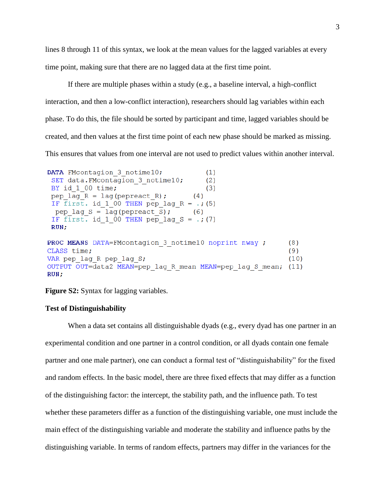lines 8 through 11 of this syntax, we look at the mean values for the lagged variables at every time point, making sure that there are no lagged data at the first time point.

If there are multiple phases within a study (e.g., a baseline interval, a high-conflict interaction, and then a low-conflict interaction), researchers should lag variables within each phase. To do this, the file should be sorted by participant and time, lagged variables should be created, and then values at the first time point of each new phase should be marked as missing. This ensures that values from one interval are not used to predict values within another interval.

```
DATA FMcontagion 3 notime10;
                                           (1)SET data. FMcontagion 3 notime10;
                                           (2)BY id 1 00 time;
                                           (3)pep lag R = \text{lag}(\text{pepreact } R);
                                       (4)IF \overline{first}. id 1 00 THEN pep lag R = .; (5)
 pep lag S = \text{lag}(\text{pepreact } S);
                                       (6)IF first. id 1 00 THEN pep lag S = .; (7)
 RUN;
PROC MEANS DATA=FMcontagion 3 notime10 noprint nway ;
                                                                 (8)CLASS time;
                                                                  (9)VAR pep lag R pep lag S;
                                                                 (10)OUTPUT OUT=data2 MEAN=pep lag R mean MEAN=pep lag S mean; (11)
RUN;
```
**Figure S2:** Syntax for lagging variables.

#### **Test of Distinguishability**

When a data set contains all distinguishable dyads (e.g., every dyad has one partner in an experimental condition and one partner in a control condition, or all dyads contain one female partner and one male partner), one can conduct a formal test of "distinguishability" for the fixed and random effects. In the basic model, there are three fixed effects that may differ as a function of the distinguishing factor: the intercept, the stability path, and the influence path. To test whether these parameters differ as a function of the distinguishing variable, one must include the main effect of the distinguishing variable and moderate the stability and influence paths by the distinguishing variable. In terms of random effects, partners may differ in the variances for the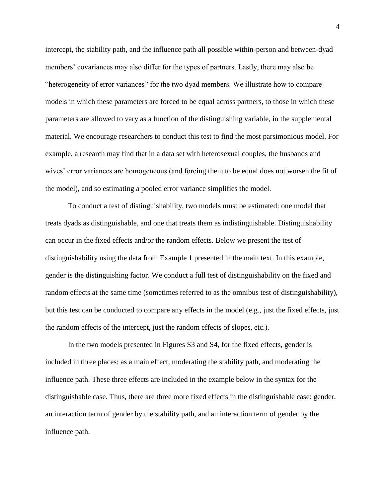intercept, the stability path, and the influence path all possible within-person and between-dyad members' covariances may also differ for the types of partners. Lastly, there may also be "heterogeneity of error variances" for the two dyad members. We illustrate how to compare models in which these parameters are forced to be equal across partners, to those in which these parameters are allowed to vary as a function of the distinguishing variable, in the supplemental material. We encourage researchers to conduct this test to find the most parsimonious model. For example, a research may find that in a data set with heterosexual couples, the husbands and wives' error variances are homogeneous (and forcing them to be equal does not worsen the fit of the model), and so estimating a pooled error variance simplifies the model.

To conduct a test of distinguishability, two models must be estimated: one model that treats dyads as distinguishable, and one that treats them as indistinguishable. Distinguishability can occur in the fixed effects and/or the random effects. Below we present the test of distinguishability using the data from Example 1 presented in the main text. In this example, gender is the distinguishing factor. We conduct a full test of distinguishability on the fixed and random effects at the same time (sometimes referred to as the omnibus test of distinguishability), but this test can be conducted to compare any effects in the model (e.g., just the fixed effects, just the random effects of the intercept, just the random effects of slopes, etc.).

In the two models presented in Figures S3 and S4, for the fixed effects, gender is included in three places: as a main effect, moderating the stability path, and moderating the influence path. These three effects are included in the example below in the syntax for the distinguishable case. Thus, there are three more fixed effects in the distinguishable case: gender, an interaction term of gender by the stability path, and an interaction term of gender by the influence path.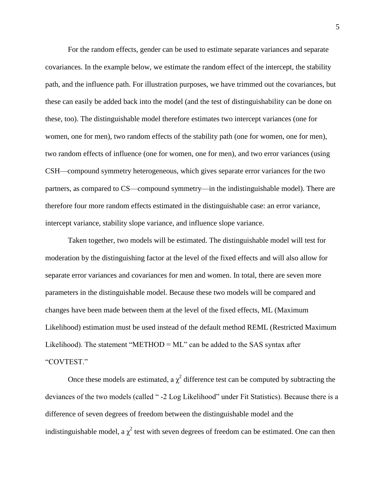For the random effects, gender can be used to estimate separate variances and separate covariances. In the example below, we estimate the random effect of the intercept, the stability path, and the influence path. For illustration purposes, we have trimmed out the covariances, but these can easily be added back into the model (and the test of distinguishability can be done on these, too). The distinguishable model therefore estimates two intercept variances (one for women, one for men), two random effects of the stability path (one for women, one for men), two random effects of influence (one for women, one for men), and two error variances (using CSH—compound symmetry heterogeneous, which gives separate error variances for the two partners, as compared to CS—compound symmetry—in the indistinguishable model). There are therefore four more random effects estimated in the distinguishable case: an error variance, intercept variance, stability slope variance, and influence slope variance.

Taken together, two models will be estimated. The distinguishable model will test for moderation by the distinguishing factor at the level of the fixed effects and will also allow for separate error variances and covariances for men and women. In total, there are seven more parameters in the distinguishable model. Because these two models will be compared and changes have been made between them at the level of the fixed effects, ML (Maximum Likelihood) estimation must be used instead of the default method REML (Restricted Maximum Likelihood). The statement "METHOD =  $ML$ " can be added to the SAS syntax after "COVTEST."

Once these models are estimated, a  $\chi^2$  difference test can be computed by subtracting the deviances of the two models (called " -2 Log Likelihood" under Fit Statistics). Because there is a difference of seven degrees of freedom between the distinguishable model and the indistinguishable model, a  $\chi^2$  test with seven degrees of freedom can be estimated. One can then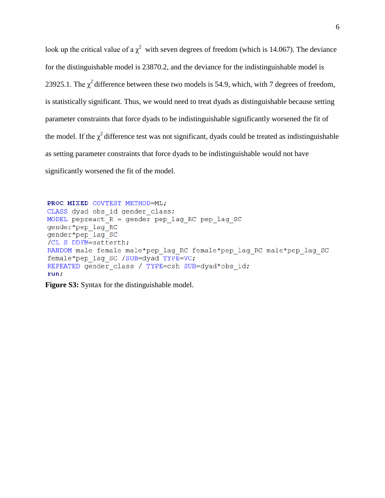look up the critical value of a  $\chi^2$  with seven degrees of freedom (which is 14.067). The deviance for the distinguishable model is 23870.2, and the deviance for the indistinguishable model is 23925.1. The  $\chi^2$  difference between these two models is 54.9, which, with 7 degrees of freedom, is statistically significant. Thus, we would need to treat dyads as distinguishable because setting parameter constraints that force dyads to be indistinguishable significantly worsened the fit of the model. If the  $\chi^2$  difference test was not significant, dyads could be treated as indistinguishable as setting parameter constraints that force dyads to be indistinguishable would not have significantly worsened the fit of the model.

```
PROC MIXED COVTEST METHOD=ML;
CLASS dyad obs id gender class;
MODEL pepreact R = gender pep lag RC pep lag SC
gender*pep lag RC
gender*pep lag SC
/CL S DDFM=satterth;
RANDOM male female male*pep lag RC female*pep lag RC male*pep lag SC
female*pep lag SC /SUB=dyad TYPE=VC;
REPEATED gender class / TYPE=csh SUB=dyad*obs id;
run;
```
**Figure S3:** Syntax for the distinguishable model.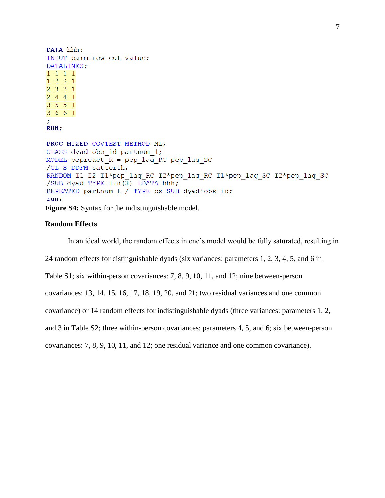```
DATA hhh;
INPUT parm row col value;
DATALINES;
1 1 1 11 2 2 1233124413 5 5 1
3 6 6 1
÷
RUN;PROC MIXED COVTEST METHOD=ML;
CLASS dyad obs id partnum 1;
MODEL pepreact R = pep lag RC pep lag SC
/CL S DDFM=satterth;
RANDOM I1 I2 I1*pep lag RC I2*pep lag RC I1*pep lag SC I2*pep lag SC
/SUB=dyad TYPE=lin(3) LDATA=hhh;
REPEATED partnum 1 / TYPE=cs SUB=dyad*obs id;
run;
Figure S4: Syntax for the indistinguishable model.
```
## **Random Effects**

In an ideal world, the random effects in one's model would be fully saturated, resulting in 24 random effects for distinguishable dyads (six variances: parameters 1, 2, 3, 4, 5, and 6 in Table S1; six within-person covariances: 7, 8, 9, 10, 11, and 12; nine between-person covariances: 13, 14, 15, 16, 17, 18, 19, 20, and 21; two residual variances and one common covariance) or 14 random effects for indistinguishable dyads (three variances: parameters 1, 2, and 3 in Table S2; three within-person covariances: parameters 4, 5, and 6; six between-person covariances: 7, 8, 9, 10, 11, and 12; one residual variance and one common covariance).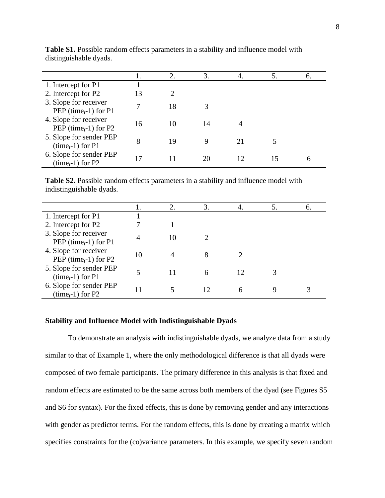|                                                            |    | 2. | 3. | 4. | 6. |
|------------------------------------------------------------|----|----|----|----|----|
| 1. Intercept for P1                                        |    |    |    |    |    |
| 2. Intercept for P2                                        | 13 |    |    |    |    |
| 3. Slope for receiver<br>PEP (time <sub>t</sub> -1) for P1 |    | 18 |    |    |    |
| 4. Slope for receiver<br>PEP (time $_{t}$ -1) for P2       | 16 | 10 | 14 | 4  |    |
| 5. Slope for sender PEP<br>$(timet-1)$ for P1              | 8  | 19 | Q  | 21 |    |
| 6. Slope for sender PEP<br>$(timet-1)$ for P2              |    |    |    |    | n  |

**Table S1.** Possible random effects parameters in a stability and influence model with distinguishable dyads.

**Table S2.** Possible random effects parameters in a stability and influence model with indistinguishable dyads.

|                                                            |    | 2. | 3. | 4. | 5. | 6. |
|------------------------------------------------------------|----|----|----|----|----|----|
| 1. Intercept for P1                                        |    |    |    |    |    |    |
| 2. Intercept for P2                                        |    |    |    |    |    |    |
| 3. Slope for receiver<br>PEP (time <sub>t</sub> -1) for P1 |    | 10 |    |    |    |    |
| 4. Slope for receiver<br>PEP (time $_{t}$ -1) for P2       | 10 |    |    |    |    |    |
| 5. Slope for sender PEP<br>$(timet-1)$ for P1              |    | 11 |    | 12 |    |    |
| 6. Slope for sender PEP<br>$(timet-1)$ for P2              |    |    |    | h  |    |    |

#### **Stability and Influence Model with Indistinguishable Dyads**

To demonstrate an analysis with indistinguishable dyads, we analyze data from a study similar to that of Example 1, where the only methodological difference is that all dyads were composed of two female participants. The primary difference in this analysis is that fixed and random effects are estimated to be the same across both members of the dyad (see Figures S5 and S6 for syntax). For the fixed effects, this is done by removing gender and any interactions with gender as predictor terms. For the random effects, this is done by creating a matrix which specifies constraints for the (co)variance parameters. In this example, we specify seven random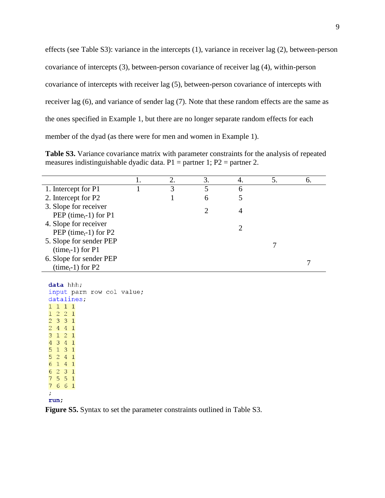effects (see Table S3): variance in the intercepts (1), variance in receiver lag (2), between-person covariance of intercepts (3), between-person covariance of receiver lag (4), within-person covariance of intercepts with receiver lag (5), between-person covariance of intercepts with receiver lag (6), and variance of sender lag (7). Note that these random effects are the same as the ones specified in Example 1, but there are no longer separate random effects for each member of the dyad (as there were for men and women in Example 1).

**Table S3.** Variance covariance matrix with parameter constraints for the analysis of repeated measures indistinguishable dyadic data.  $P1$  = partner 1;  $P2$  = partner 2.

|                                                            | 2. | 3. | 4. | 6. |
|------------------------------------------------------------|----|----|----|----|
| 1. Intercept for P1                                        | 3  |    | 6  |    |
| 2. Intercept for P2                                        |    | 6  |    |    |
| 3. Slope for receiver<br>PEP (time <sub>t</sub> -1) for P1 |    |    | 4  |    |
| 4. Slope for receiver<br>PEP (time $_{t}$ -1) for P2       |    |    |    |    |
| 5. Slope for sender PEP<br>$(timet-1)$ for P1              |    |    |    |    |
| 6. Slope for sender PEP<br>$(timet-1)$ for P2              |    |    |    |    |

data hhh;

**Figure S5.** Syntax to set the parameter constraints outlined in Table S3.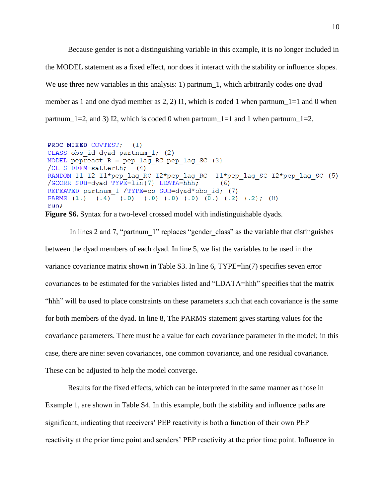Because gender is not a distinguishing variable in this example, it is no longer included in the MODEL statement as a fixed effect, nor does it interact with the stability or influence slopes. We use three new variables in this analysis: 1) partnum 1, which arbitrarily codes one dyad member as 1 and one dyad member as 2, 2) I1, which is coded 1 when partnum\_1=1 and 0 when partnum\_1=2, and 3) I2, which is coded 0 when partnum\_1=1 and 1 when partnum\_1=2.

```
PROC MIXED COVTEST; (1)
CLASS obs id dyad partnum 1; (2)
MODEL pepreact R = pep lag RC pep lag SC (3)
/CL S DDFM=satterth; (4)
RANDOM I1 I2 I1*pep lag RC I2*pep lag RC I1*pep lag SC I2*pep lag SC (5)
/GCORR SUB=dyad TYPE=lin(7) LDATA=hhh;
                                              (6)REPEATED partnum 1 /TYPE=cs SUB=dyad*obs id; (7)
PARMS (1.) (.4) (.0) (.0) (.0) (.0) (\overline{0.}) (\overline{0.}) (.2) (.2); (8)run;
```
**Figure S6.** Syntax for a two-level crossed model with indistinguishable dyads.

In lines 2 and 7, "partnum 1" replaces "gender class" as the variable that distinguishes between the dyad members of each dyad. In line 5, we list the variables to be used in the variance covariance matrix shown in Table S3. In line 6, TYPE=lin(7) specifies seven error covariances to be estimated for the variables listed and "LDATA=hhh" specifies that the matrix "hhh" will be used to place constraints on these parameters such that each covariance is the same for both members of the dyad. In line 8, The PARMS statement gives starting values for the covariance parameters. There must be a value for each covariance parameter in the model; in this case, there are nine: seven covariances, one common covariance, and one residual covariance. These can be adjusted to help the model converge.

Results for the fixed effects, which can be interpreted in the same manner as those in Example 1, are shown in Table S4. In this example, both the stability and influence paths are significant, indicating that receivers' PEP reactivity is both a function of their own PEP reactivity at the prior time point and senders' PEP reactivity at the prior time point. Influence in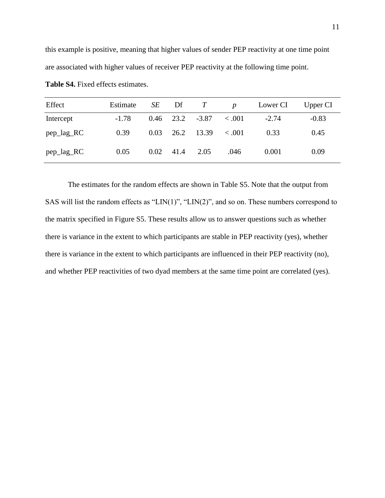this example is positive, meaning that higher values of sender PEP reactivity at one time point are associated with higher values of receiver PEP reactivity at the following time point.

| Effect     | Estimate |      | $SE$ Df $T$ |                          | $\boldsymbol{D}$ | Lower CI | Upper CI |
|------------|----------|------|-------------|--------------------------|------------------|----------|----------|
| Intercept  | $-1.78$  |      |             | $0.46$ 23.2 -3.87 < 0.01 |                  | $-2.74$  | $-0.83$  |
| pep_lag_RC | 0.39     | 0.03 | 26.2        | 13.39                    | < 0.001          | 0.33     | 0.45     |
| pep_lag_RC | 0.05     | 0.02 | 41.4        | 2.05                     | .046             | 0.001    | 0.09     |

**Table S4.** Fixed effects estimates.

The estimates for the random effects are shown in Table S5. Note that the output from SAS will list the random effects as "LIN(1)", "LIN(2)", and so on. These numbers correspond to the matrix specified in Figure S5. These results allow us to answer questions such as whether there is variance in the extent to which participants are stable in PEP reactivity (yes), whether there is variance in the extent to which participants are influenced in their PEP reactivity (no), and whether PEP reactivities of two dyad members at the same time point are correlated (yes).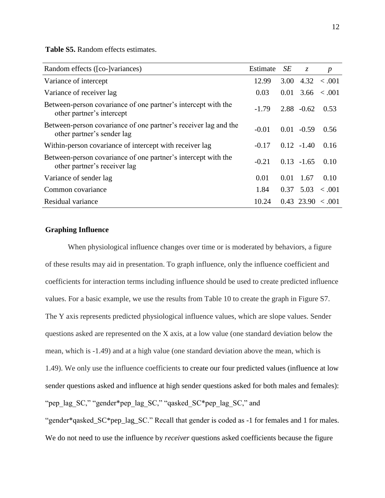**Table S5.** Random effects estimates.

| Random effects ([co-]variances)                                                               | Estimate | <b>SE</b> | $Z_{\cdot}$   | $\boldsymbol{p}$               |
|-----------------------------------------------------------------------------------------------|----------|-----------|---------------|--------------------------------|
| Variance of intercept                                                                         | 12.99    | 3.00      |               | $4.32 \div .001$               |
| Variance of receiver lag                                                                      | 0.03     |           |               | $0.01 \quad 3.66 \quad < .001$ |
| Between-person covariance of one partner's intercept with the<br>other partner's intercept    | $-1.79$  |           | $2.88 - 0.62$ | 0.53                           |
| Between-person covariance of one partner's receiver lag and the<br>other partner's sender lag | $-0.01$  |           | $0.01 - 0.59$ | 0.56                           |
| Within-person covariance of intercept with receiver lag                                       | $-0.17$  |           | $0.12 - 1.40$ | 0.16                           |
| Between-person covariance of one partner's intercept with the<br>other partner's receiver lag | $-0.21$  |           | $0.13 - 1.65$ | 0.10                           |
| Variance of sender lag                                                                        | 0.01     | 0.01      | 1.67          | 0.10                           |
| Common covariance                                                                             | 1.84     |           | 0.37 5.03     | $\leq .001$                    |
| Residual variance                                                                             | 10.24    |           |               | $0.43$ 23.90 < 0.01            |

# **Graphing Influence**

When physiological influence changes over time or is moderated by behaviors, a figure of these results may aid in presentation. To graph influence, only the influence coefficient and coefficients for interaction terms including influence should be used to create predicted influence values. For a basic example, we use the results from Table 10 to create the graph in Figure S7. The Y axis represents predicted physiological influence values, which are slope values. Sender questions asked are represented on the X axis, at a low value (one standard deviation below the mean, which is -1.49) and at a high value (one standard deviation above the mean, which is 1.49). We only use the influence coefficients to create our four predicted values (influence at low sender questions asked and influence at high sender questions asked for both males and females): "pep\_lag\_SC," "gender\*pep\_lag\_SC," "qasked\_SC\*pep\_lag\_SC," and

"gender\*qasked\_SC\*pep\_lag\_SC." Recall that gender is coded as -1 for females and 1 for males. We do not need to use the influence by *receiver* questions asked coefficients because the figure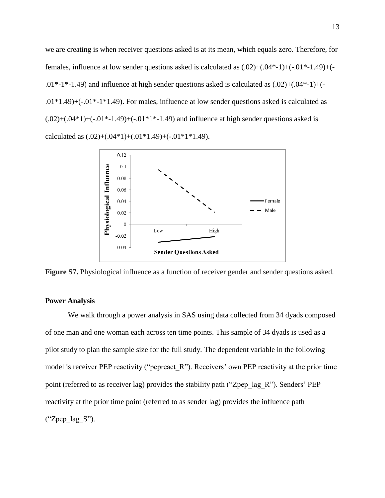we are creating is when receiver questions asked is at its mean, which equals zero. Therefore, for females, influence at low sender questions asked is calculated as (.02)+(.04\*-1)+(-.01\*-1.49)+(-  $.01*-1*-1.49$ ) and influence at high sender questions asked is calculated as  $(.02)+(.04*-1)+( .01*1.49$ + $(-.01*1*1.49)$ . For males, influence at low sender questions asked is calculated as  $(.02)$ + $(.04*1)$ + $(-.01*-1.49)$ + $(-.01*1*-1.49)$  and influence at high sender questions asked is calculated as  $(.02)$ + $(.04*1)$ + $(.01*1.49)$ + $(-.01*1*1.49)$ .



**Figure S7.** Physiological influence as a function of receiver gender and sender questions asked.

# **Power Analysis**

We walk through a power analysis in SAS using data collected from 34 dyads composed of one man and one woman each across ten time points. This sample of 34 dyads is used as a pilot study to plan the sample size for the full study. The dependent variable in the following model is receiver PEP reactivity ("pepreact R"). Receivers' own PEP reactivity at the prior time point (referred to as receiver lag) provides the stability path ("Zpep\_lag\_R"). Senders' PEP reactivity at the prior time point (referred to as sender lag) provides the influence path  $("Zpep lag S").$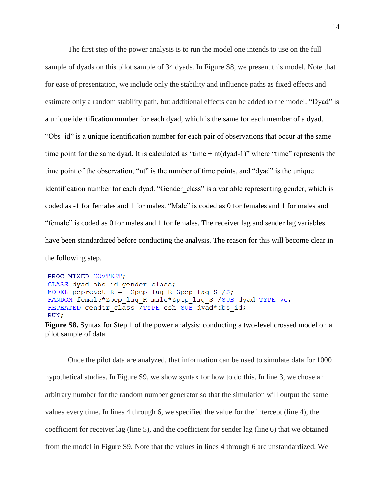The first step of the power analysis is to run the model one intends to use on the full sample of dyads on this pilot sample of 34 dyads. In Figure S8, we present this model. Note that for ease of presentation, we include only the stability and influence paths as fixed effects and estimate only a random stability path, but additional effects can be added to the model. "Dyad" is a unique identification number for each dyad, which is the same for each member of a dyad. "Obs id" is a unique identification number for each pair of observations that occur at the same time point for the same dyad. It is calculated as "time  $+$  nt(dyad-1)" where "time" represents the time point of the observation, "nt" is the number of time points, and "dyad" is the unique identification number for each dyad. "Gender\_class" is a variable representing gender, which is coded as -1 for females and 1 for males. "Male" is coded as 0 for females and 1 for males and "female" is coded as 0 for males and 1 for females. The receiver lag and sender lag variables have been standardized before conducting the analysis. The reason for this will become clear in the following step.

PROC MIXED COVTEST; CLASS dyad obs id gender class; MODEL pepreact  $R = Zpep \text{ lag } R Zpep \text{ lag } S / S$ ; RANDOM female\*Zpep lag R male\*Zpep lag S /SUB=dyad TYPE=vc; REPEATED gender class /TYPE=csh SUB=dyad\*obs id;  $RUN;$ 

Once the pilot data are analyzed, that information can be used to simulate data for 1000 hypothetical studies. In Figure S9, we show syntax for how to do this. In line 3, we chose an arbitrary number for the random number generator so that the simulation will output the same values every time. In lines 4 through 6, we specified the value for the intercept (line 4), the coefficient for receiver lag (line 5), and the coefficient for sender lag (line 6) that we obtained from the model in Figure S9. Note that the values in lines 4 through 6 are unstandardized. We

**Figure S8.** Syntax for Step 1 of the power analysis: conducting a two-level crossed model on a pilot sample of data.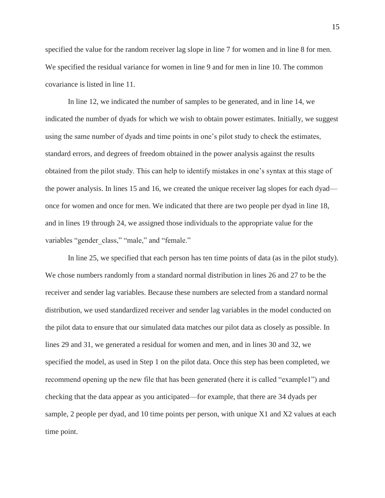specified the value for the random receiver lag slope in line 7 for women and in line 8 for men. We specified the residual variance for women in line 9 and for men in line 10. The common covariance is listed in line 11.

In line 12, we indicated the number of samples to be generated, and in line 14, we indicated the number of dyads for which we wish to obtain power estimates. Initially, we suggest using the same number of dyads and time points in one's pilot study to check the estimates, standard errors, and degrees of freedom obtained in the power analysis against the results obtained from the pilot study. This can help to identify mistakes in one's syntax at this stage of the power analysis. In lines 15 and 16, we created the unique receiver lag slopes for each dyad once for women and once for men. We indicated that there are two people per dyad in line 18, and in lines 19 through 24, we assigned those individuals to the appropriate value for the variables "gender class," "male," and "female."

In line 25, we specified that each person has ten time points of data (as in the pilot study). We chose numbers randomly from a standard normal distribution in lines 26 and 27 to be the receiver and sender lag variables. Because these numbers are selected from a standard normal distribution, we used standardized receiver and sender lag variables in the model conducted on the pilot data to ensure that our simulated data matches our pilot data as closely as possible. In lines 29 and 31, we generated a residual for women and men, and in lines 30 and 32, we specified the model, as used in Step 1 on the pilot data. Once this step has been completed, we recommend opening up the new file that has been generated (here it is called "example1") and checking that the data appear as you anticipated—for example, that there are 34 dyads per sample, 2 people per dyad, and 10 time points per person, with unique X1 and X2 values at each time point.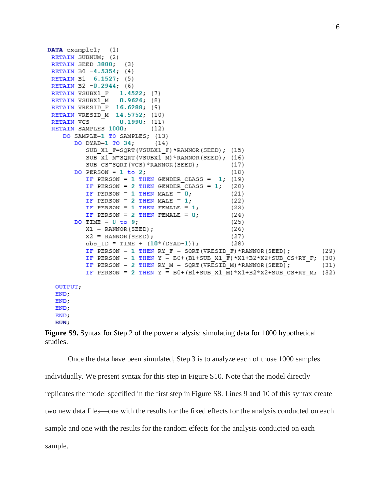```
DATA example1; (1)
 RETAIN SUBNUM; (2)
 RETAIN SEED 3888;
                     (3)RETAIN B0 -4.5354; (4)
 RETAIN B1 6.1527; (5)
 RETAIN B2 -0.2944; (6)
 RETAIN VSUBX1 F 1.4522, (7)
                  0.9626, (8)RETAIN VSUBX1 M
 RETAIN VRESID F 16.6288; (9)
 RETAIN VRESID M 14.5752; (10)
 RETAIN VCS 0.1990, (11)
 RETAIN SAMPLES 1000;
                        (12)DO SAMPLE=1 TO SAMPLES; (13)
       DO DYAD=1 TO 34:
                            (14)SUB X1 F=SQRT (VSUBX1 F) *RANNOR (SEED); (15)
          SUB X1 M=SORT (VSUBX1 M) *RANNOR (SEED); (16)
          SUB CS=SQRT (VCS) *RANNOR (SEED) ;
                                                  (17)DO PERSON = 1 to 2,
                                                  (18)IF PERSON = 1 THEN GENDER CLASS = -1; (19)
          IF PERSON = 2 THEN GENDER CLASS = 1; (20)
          IF PERSON = 1 THEN MALE = 0;
                                                 (21)IF PERSON = 2 THEN MALE = 1,
                                                 (22)IF PERSON = 1 THEN FEMALE = 1;
                                                 (23)IF PERSON = 2 THEN FEMALE = 0;
                                                 (24)DO TIME = 0 to 9;
                                                  (25)X1 = RANNOR (SEED);
                                                  (26)X2 = RANNOR (SEED);
                                                  (27)obs ID = TIME + (10*(DYAD-1));
                                                 (28)
          IF PERSON = 1 THEN RY F = SQRT (VRESID F) *RANNOR (SEED) ;
                                                                           (29)IF PERSON = 1 THEN Y = BO + (B1+SUB X1 \overline{F}) * X1+B2*X2+SUB CS+RY \overline{F}; (30)
          IF PERSON = 2 THEN RY M = SQRT (VRESID M) *RANNOR (SEED);
                                                                           (31)IF PERSON = 2 THEN Y = B0+(B1+SUB X1 M)*X1+B2*X2+SUB CS+RY M; (32)
  OUTPUT;
  END:END:END<sub>1</sub>END:
  RUN;
```
**Figure S9.** Syntax for Step 2 of the power analysis: simulating data for 1000 hypothetical studies.

Once the data have been simulated, Step 3 is to analyze each of those 1000 samples individually. We present syntax for this step in Figure S10. Note that the model directly replicates the model specified in the first step in Figure S8. Lines 9 and 10 of this syntax create two new data files—one with the results for the fixed effects for the analysis conducted on each sample and one with the results for the random effects for the analysis conducted on each sample.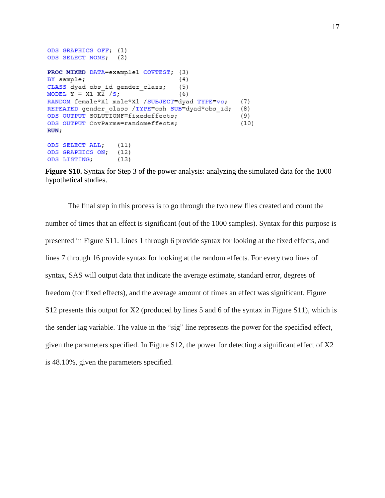```
ODS GRAPHICS OFF. (1)
ODS SELECT NONE; (2)
PROC MIXED DATA=example1 COVTEST; (3)
                                    (4)BY sample;
CLASS dyad obs id gender class;
                                   (5)MODEL Y = X1 \overline{X2} /S;
                                    (6)RANDOM female*X1 male*X1 /SUBJECT=dyad TYPE=vc;
                                                    (7)REPEATED gender class /TYPE=csh SUB=dyad*obs id;
                                                    (8)ODS OUTPUT SOLUTIONF=fixedeffects;
                                                    (9)ODS OUTPUT CovParms=randomeffects:
                                                    (10)RUN;
ODS SELECT ALL:
                   (11)(12)ODS GRAPHICS ON;
```
 $(13)$ 

ODS LISTING;

**Figure S10.** Syntax for Step 3 of the power analysis: analyzing the simulated data for the 1000 hypothetical studies.

The final step in this process is to go through the two new files created and count the number of times that an effect is significant (out of the 1000 samples). Syntax for this purpose is presented in Figure S11. Lines 1 through 6 provide syntax for looking at the fixed effects, and lines 7 through 16 provide syntax for looking at the random effects. For every two lines of syntax, SAS will output data that indicate the average estimate, standard error, degrees of freedom (for fixed effects), and the average amount of times an effect was significant. Figure S12 presents this output for X2 (produced by lines 5 and 6 of the syntax in Figure S11), which is the sender lag variable. The value in the "sig" line represents the power for the specified effect, given the parameters specified. In Figure S12, the power for detecting a significant effect of X2 is 48.10%, given the parameters specified.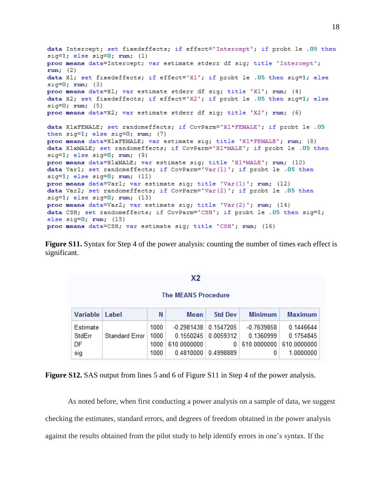```
data Intercept; set fixedeffects; if effect='Intercept'; if probt le .05 then
sig=1; else sig=0; run; (1)
proc means data=Intercept; var estimate stderr df sig; title 'Intercept';
run; (2)data X1; set fixedeffects; if effect='X1'; if probt le .05 then sig=1; else
sig=0; run; (3)
proc means data=X1; var estimate stderr df sig; title 'X1'; run; (4)
data X2; set fixedeffects; if effect='X2'; if probt le .05 then sig=1; else
sig=0; run; (5)proc means data=X2; var estimate stderr df sig; title 'X2'; run; (6)
data X1xFEMALE; set randomeffects; if CovParm='X1*FEMALE'; if probt le .05
then sig=1; else sig=0; run; (7)
proc means data=X1xFEMALE; var estimate sig; title 'X1*FEMALE'; run; (8)
data X1xMALE; set randomeffects; if CovParm='X1*MALE'; if probt le .05 then
sig=1; else sig=0; run; (9)
proc means data=X1xMALE; var estimate sig; title 'X1*MALE'; run; (10)
data Var1; set randomeffects; if CovParm='Var(1)'; if probt le .05 then
sig=1; else sig=0; run; (11)
proc means data=Var1; var estimate sig; title 'Var(1)'; run; (12)
data Var2; set randomeffects; if CovParm='Var(2)'; if probt le .05 then
sig=1; else sig=0; run; (13)
proc means data=Var2; var estimate sig; title 'Var(2)'; run; (14)
data CSH; set randomeffects; if CovParm='CSH'; if probt le .05 then sig=1;
else sig=0; run; (15)proc means data=CSH; var estimate sig; title 'CSH'; run; (16)
```
**Figure S11.** Syntax for Step 4 of the power analysis: counting the number of times each effect is significant.

## $X<sub>2</sub>$

#### **The MEANS Procedure**

| Variable   Label |                | N    | Mean                             | <b>Std Dev</b>        | <b>Minimum</b>                | Maximum   |
|------------------|----------------|------|----------------------------------|-----------------------|-------------------------------|-----------|
| Estimate         |                | 1000 | $-0.2981438 \mid 0.1547205 \mid$ |                       | -0.7639858                    | 0.1446644 |
| StdErr           | Standard Error | 1000 | 0.1550245 0.0059312              |                       | 0.1360999                     | 0.1754845 |
| DF               |                |      | 1000 610 0000000                 |                       | 0   610.0000000   610.0000000 |           |
| sig              |                | 1000 |                                  | 0.4810000   0.4998889 |                               | 1.0000000 |

**Figure S12.** SAS output from lines 5 and 6 of Figure S11 in Step 4 of the power analysis.

As noted before, when first conducting a power analysis on a sample of data, we suggest checking the estimates, standard errors, and degrees of freedom obtained in the power analysis against the results obtained from the pilot study to help identify errors in one's syntax. If the